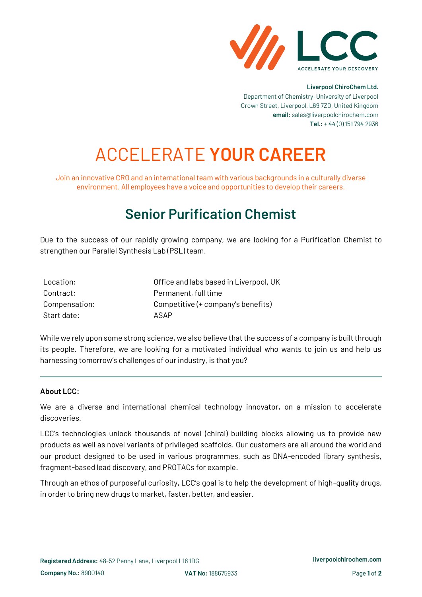

### **Liverpool ChiroChem Ltd.** Department of Chemistry, University of Liverpool Crown Street, Liverpool, L69 7ZD, United Kingdom **email:** sales@liverpoolchirochem.com **Tel.:** + 44 (0) 151 794 2936

# ACCELERATE **YOUR CAREER**

Join an innovative CRO and an international team with various backgrounds in a culturally diverse environment. All employees have a voice and opportunities to develop their careers.

# **Senior Purification Chemist**

Due to the success of our rapidly growing company, we are looking for a Purification Chemist to strengthen our Parallel Synthesis Lab (PSL) team.

| Location:     | Office and labs based in Liverpool, UK |
|---------------|----------------------------------------|
| Contract:     | Permanent, full time                   |
| Compensation: | Competitive (+ company's benefits)     |
| Start date:   | ASAP                                   |

While we rely upon some strong science, we also believe that the success of a company is built through its people. Therefore, we are looking for a motivated individual who wants to join us and help us harnessing tomorrow's challenges of our industry, is that you?

# **About LCC:**

We are a diverse and international chemical technology innovator, on a mission to accelerate discoveries.

LCC's technologies unlock thousands of novel (chiral) building blocks allowing us to provide new products as well as novel variants of privileged scaffolds. Our customers are all around the world and our product designed to be used in various programmes, such as DNA-encoded library synthesis, fragment-based lead discovery, and PROTACs for example.

Through an ethos of purposeful curiosity, LCC's goal is to help the development of high-quality drugs, in order to bring new drugs to market, faster, better, and easier.